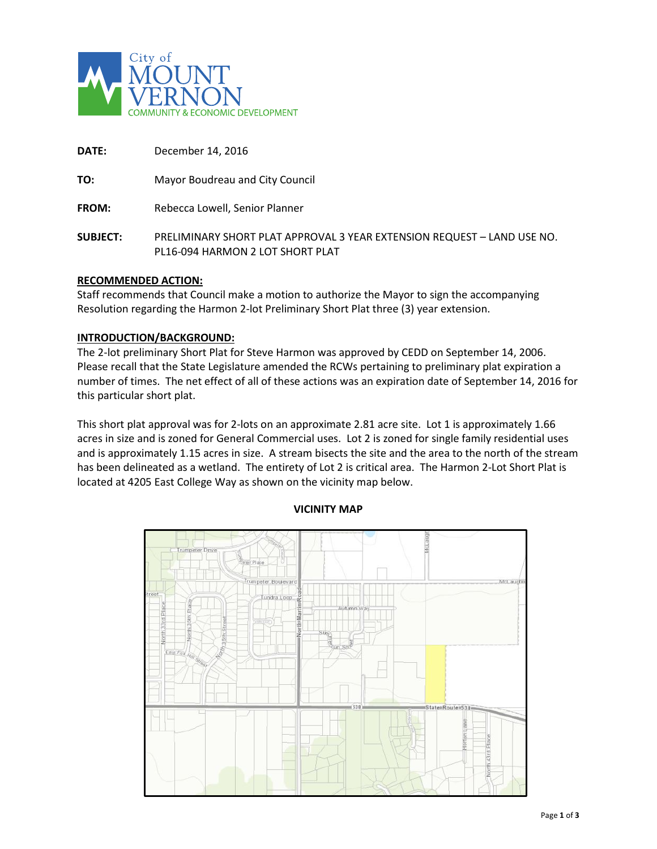

| DATE:           | December 14, 2016                                                                                           |
|-----------------|-------------------------------------------------------------------------------------------------------------|
| TO:             | Mayor Boudreau and City Council                                                                             |
| <b>FROM:</b>    | Rebecca Lowell, Senior Planner                                                                              |
| <b>SUBJECT:</b> | PRELIMINARY SHORT PLAT APPROVAL 3 YEAR EXTENSION REQUEST - LAND USE NO.<br>PL16-094 HARMON 2 LOT SHORT PLAT |

#### **RECOMMENDED ACTION:**

Staff recommends that Council make a motion to authorize the Mayor to sign the accompanying Resolution regarding the Harmon 2-lot Preliminary Short Plat three (3) year extension.

#### **INTRODUCTION/BACKGROUND:**

The 2-lot preliminary Short Plat for Steve Harmon was approved by CEDD on September 14, 2006. Please recall that the State Legislature amended the RCWs pertaining to preliminary plat expiration a number of times. The net effect of all of these actions was an expiration date of September 14, 2016 for this particular short plat.

This short plat approval was for 2-lots on an approximate 2.81 acre site. Lot 1 is approximately 1.66 acres in size and is zoned for General Commercial uses. Lot 2 is zoned for single family residential uses and is approximately 1.15 acres in size. A stream bisects the site and the area to the north of the stream has been delineated as a wetland. The entirety of Lot 2 is critical area. The Harmon 2-Lot Short Plat is located at 4205 East College Way as shown on the vicinity map below.



#### **VICINITY MAP**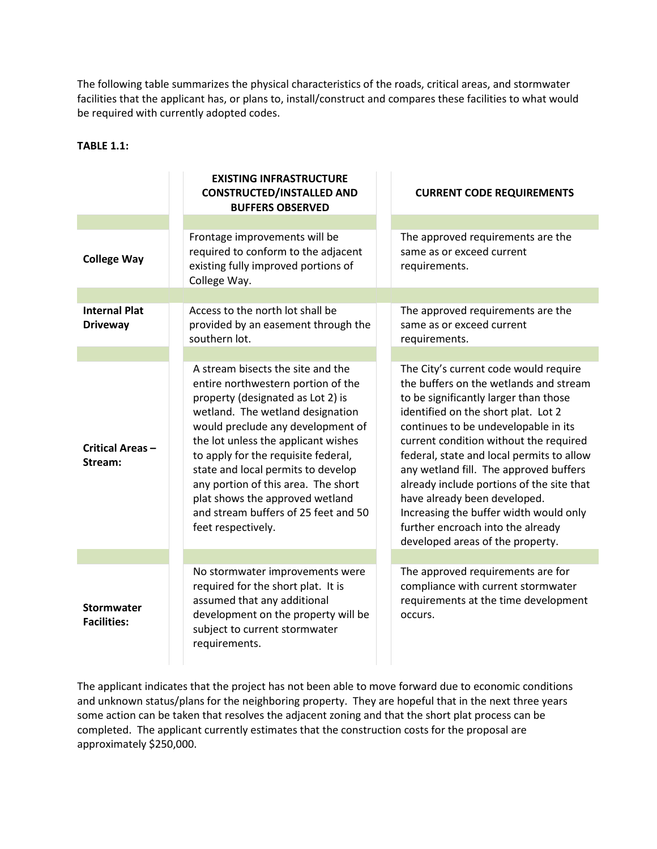The following table summarizes the physical characteristics of the roads, critical areas, and stormwater facilities that the applicant has, or plans to, install/construct and compares these facilities to what would be required with currently adopted codes.

# **TABLE 1.1:**

|                                         | <b>EXISTING INFRASTRUCTURE</b><br><b>CONSTRUCTED/INSTALLED AND</b><br><b>BUFFERS OBSERVED</b>                                                                                                                                                                                                                                                                                                                                                     |               | <b>CURRENT CODE REQUIREMENTS</b>                                                                                                                                                                                                                                                                                                                                                                                                                                                                                                         |
|-----------------------------------------|---------------------------------------------------------------------------------------------------------------------------------------------------------------------------------------------------------------------------------------------------------------------------------------------------------------------------------------------------------------------------------------------------------------------------------------------------|---------------|------------------------------------------------------------------------------------------------------------------------------------------------------------------------------------------------------------------------------------------------------------------------------------------------------------------------------------------------------------------------------------------------------------------------------------------------------------------------------------------------------------------------------------------|
|                                         |                                                                                                                                                                                                                                                                                                                                                                                                                                                   |               |                                                                                                                                                                                                                                                                                                                                                                                                                                                                                                                                          |
| <b>College Way</b>                      | Frontage improvements will be<br>required to conform to the adjacent<br>existing fully improved portions of<br>College Way.                                                                                                                                                                                                                                                                                                                       | requirements. | The approved requirements are the<br>same as or exceed current                                                                                                                                                                                                                                                                                                                                                                                                                                                                           |
|                                         |                                                                                                                                                                                                                                                                                                                                                                                                                                                   |               |                                                                                                                                                                                                                                                                                                                                                                                                                                                                                                                                          |
| <b>Internal Plat</b><br><b>Driveway</b> | Access to the north lot shall be<br>provided by an easement through the<br>southern lot.                                                                                                                                                                                                                                                                                                                                                          | requirements. | The approved requirements are the<br>same as or exceed current                                                                                                                                                                                                                                                                                                                                                                                                                                                                           |
|                                         |                                                                                                                                                                                                                                                                                                                                                                                                                                                   |               |                                                                                                                                                                                                                                                                                                                                                                                                                                                                                                                                          |
| Critical Areas-<br>Stream:              | A stream bisects the site and the<br>entire northwestern portion of the<br>property (designated as Lot 2) is<br>wetland. The wetland designation<br>would preclude any development of<br>the lot unless the applicant wishes<br>to apply for the requisite federal,<br>state and local permits to develop<br>any portion of this area. The short<br>plat shows the approved wetland<br>and stream buffers of 25 feet and 50<br>feet respectively. |               | The City's current code would require<br>the buffers on the wetlands and stream<br>to be significantly larger than those<br>identified on the short plat. Lot 2<br>continues to be undevelopable in its<br>current condition without the required<br>federal, state and local permits to allow<br>any wetland fill. The approved buffers<br>already include portions of the site that<br>have already been developed.<br>Increasing the buffer width would only<br>further encroach into the already<br>developed areas of the property. |
|                                         |                                                                                                                                                                                                                                                                                                                                                                                                                                                   |               |                                                                                                                                                                                                                                                                                                                                                                                                                                                                                                                                          |
| <b>Stormwater</b><br><b>Facilities:</b> | No stormwater improvements were<br>required for the short plat. It is<br>assumed that any additional<br>development on the property will be<br>subject to current stormwater<br>requirements.                                                                                                                                                                                                                                                     | occurs.       | The approved requirements are for<br>compliance with current stormwater<br>requirements at the time development                                                                                                                                                                                                                                                                                                                                                                                                                          |

The applicant indicates that the project has not been able to move forward due to economic conditions and unknown status/plans for the neighboring property. They are hopeful that in the next three years some action can be taken that resolves the adjacent zoning and that the short plat process can be completed. The applicant currently estimates that the construction costs for the proposal are approximately \$250,000.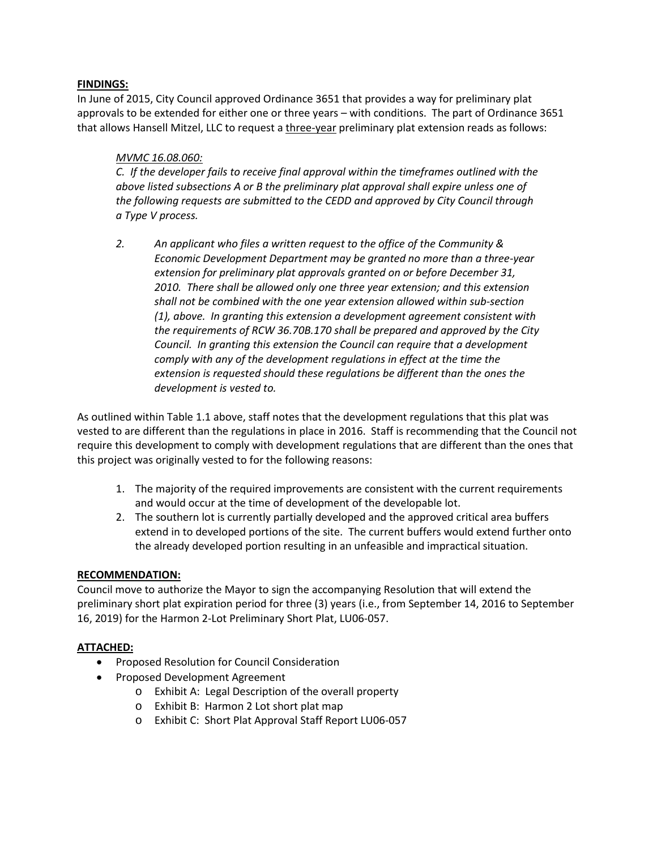# **FINDINGS:**

In June of 2015, City Council approved Ordinance 3651 that provides a way for preliminary plat approvals to be extended for either one or three years – with conditions. The part of Ordinance 3651 that allows Hansell Mitzel, LLC to request a three-year preliminary plat extension reads as follows:

# *MVMC 16.08.060:*

*C. If the developer fails to receive final approval within the timeframes outlined with the above listed subsections A or B the preliminary plat approval shall expire unless one of the following requests are submitted to the CEDD and approved by City Council through a Type V process.*

*2. An applicant who files a written request to the office of the Community & Economic Development Department may be granted no more than a three-year extension for preliminary plat approvals granted on or before December 31, 2010. There shall be allowed only one three year extension; and this extension shall not be combined with the one year extension allowed within sub-section (1), above. In granting this extension a development agreement consistent with the requirements of RCW 36.70B.170 shall be prepared and approved by the City Council. In granting this extension the Council can require that a development comply with any of the development regulations in effect at the time the extension is requested should these regulations be different than the ones the development is vested to.* 

As outlined within Table 1.1 above, staff notes that the development regulations that this plat was vested to are different than the regulations in place in 2016. Staff is recommending that the Council not require this development to comply with development regulations that are different than the ones that this project was originally vested to for the following reasons:

- 1. The majority of the required improvements are consistent with the current requirements and would occur at the time of development of the developable lot.
- 2. The southern lot is currently partially developed and the approved critical area buffers extend in to developed portions of the site. The current buffers would extend further onto the already developed portion resulting in an unfeasible and impractical situation.

## **RECOMMENDATION:**

Council move to authorize the Mayor to sign the accompanying Resolution that will extend the preliminary short plat expiration period for three (3) years (i.e., from September 14, 2016 to September 16, 2019) for the Harmon 2-Lot Preliminary Short Plat, LU06-057.

## **ATTACHED:**

- Proposed Resolution for Council Consideration
- Proposed Development Agreement
	- o Exhibit A: Legal Description of the overall property
	- o Exhibit B: Harmon 2 Lot short plat map
	- o Exhibit C: Short Plat Approval Staff Report LU06-057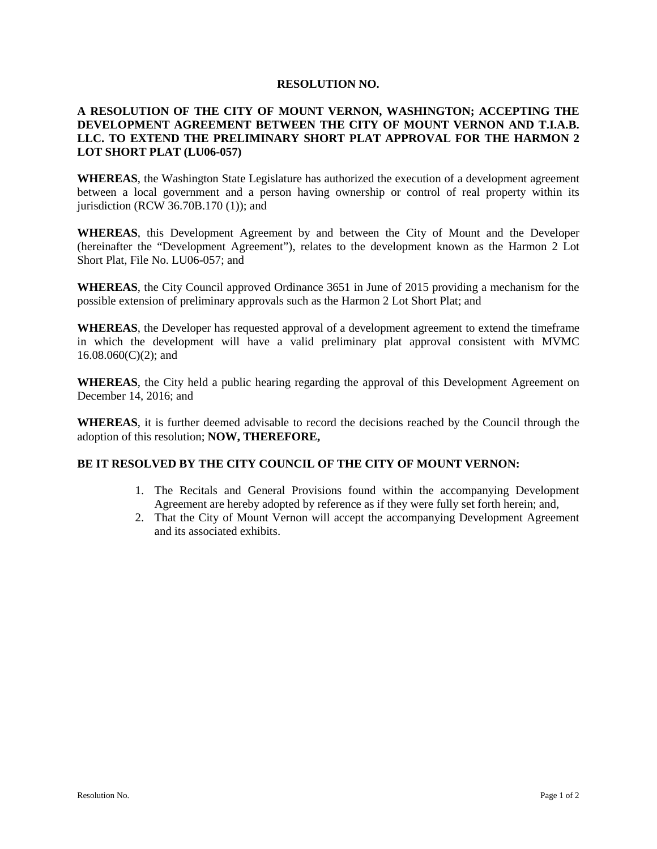#### **RESOLUTION NO.**

# **A RESOLUTION OF THE CITY OF MOUNT VERNON, WASHINGTON; ACCEPTING THE DEVELOPMENT AGREEMENT BETWEEN THE CITY OF MOUNT VERNON AND T.I.A.B. LLC. TO EXTEND THE PRELIMINARY SHORT PLAT APPROVAL FOR THE HARMON 2 LOT SHORT PLAT (LU06-057)**

**WHEREAS**, the Washington State Legislature has authorized the execution of a development agreement between a local government and a person having ownership or control of real property within its jurisdiction (RCW 36.70B.170 (1)); and

**WHEREAS**, this Development Agreement by and between the City of Mount and the Developer (hereinafter the "Development Agreement"), relates to the development known as the Harmon 2 Lot Short Plat, File No. LU06-057; and

**WHEREAS**, the City Council approved Ordinance 3651 in June of 2015 providing a mechanism for the possible extension of preliminary approvals such as the Harmon 2 Lot Short Plat; and

**WHEREAS**, the Developer has requested approval of a development agreement to extend the timeframe in which the development will have a valid preliminary plat approval consistent with MVMC  $16.08.060(C)(2)$ ; and

**WHEREAS**, the City held a public hearing regarding the approval of this Development Agreement on December 14, 2016; and

**WHEREAS**, it is further deemed advisable to record the decisions reached by the Council through the adoption of this resolution; **NOW, THEREFORE,**

## **BE IT RESOLVED BY THE CITY COUNCIL OF THE CITY OF MOUNT VERNON:**

- 1. The Recitals and General Provisions found within the accompanying Development Agreement are hereby adopted by reference as if they were fully set forth herein; and,
- 2. That the City of Mount Vernon will accept the accompanying Development Agreement and its associated exhibits.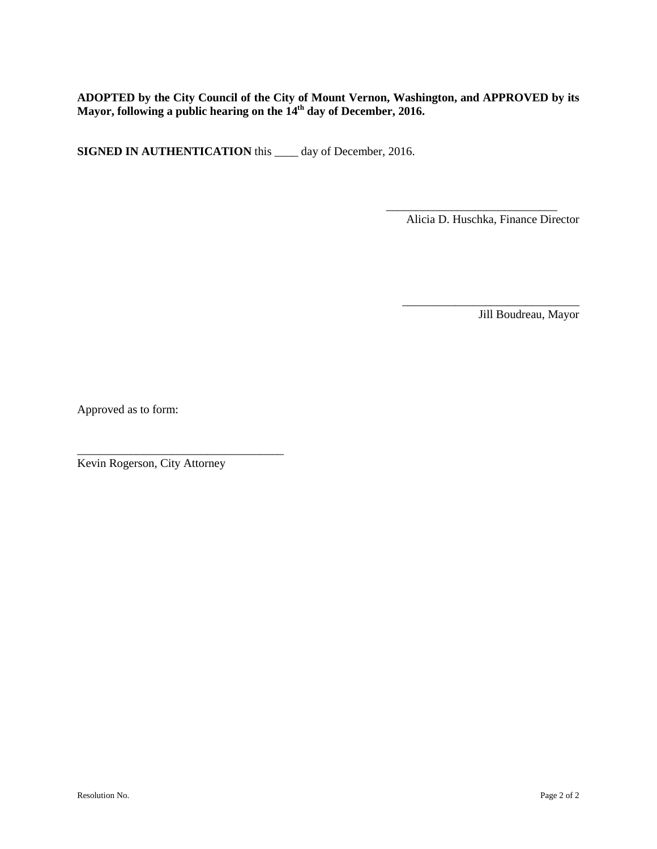# **ADOPTED by the City Council of the City of Mount Vernon, Washington, and APPROVED by its Mayor, following a public hearing on the 14th day of December, 2016.**

**SIGNED IN AUTHENTICATION** this \_\_\_\_ day of December, 2016.

Alicia D. Huschka, Finance Director

\_\_\_\_\_\_\_\_\_\_\_\_\_\_\_\_\_\_\_\_\_\_\_\_\_\_\_\_\_\_

\_\_\_\_\_\_\_\_\_\_\_\_\_\_\_\_\_\_\_\_\_\_\_\_\_\_\_\_\_

Jill Boudreau, Mayor

Approved as to form:

Kevin Rogerson, City Attorney

\_\_\_\_\_\_\_\_\_\_\_\_\_\_\_\_\_\_\_\_\_\_\_\_\_\_\_\_\_\_\_\_\_\_\_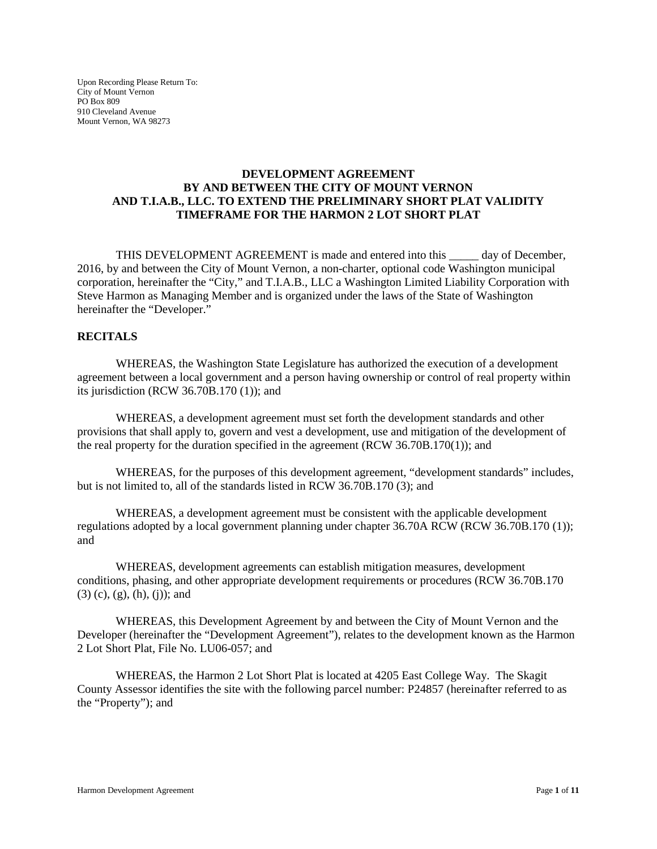Upon Recording Please Return To: City of Mount Vernon PO Box 809 910 Cleveland Avenue Mount Vernon, WA 98273

### **DEVELOPMENT AGREEMENT BY AND BETWEEN THE CITY OF MOUNT VERNON AND T.I.A.B., LLC. TO EXTEND THE PRELIMINARY SHORT PLAT VALIDITY TIMEFRAME FOR THE HARMON 2 LOT SHORT PLAT**

THIS DEVELOPMENT AGREEMENT is made and entered into this \_\_\_\_\_ day of December, 2016, by and between the City of Mount Vernon, a non-charter, optional code Washington municipal corporation, hereinafter the "City," and T.I.A.B., LLC a Washington Limited Liability Corporation with Steve Harmon as Managing Member and is organized under the laws of the State of Washington hereinafter the "Developer."

## **RECITALS**

WHEREAS, the Washington State Legislature has authorized the execution of a development agreement between a local government and a person having ownership or control of real property within its jurisdiction (RCW 36.70B.170 (1)); and

WHEREAS, a development agreement must set forth the development standards and other provisions that shall apply to, govern and vest a development, use and mitigation of the development of the real property for the duration specified in the agreement (RCW 36.70B.170(1)); and

WHEREAS, for the purposes of this development agreement, "development standards" includes, but is not limited to, all of the standards listed in RCW 36.70B.170 (3); and

WHEREAS, a development agreement must be consistent with the applicable development regulations adopted by a local government planning under chapter 36.70A RCW (RCW 36.70B.170 (1)); and

WHEREAS, development agreements can establish mitigation measures, development conditions, phasing, and other appropriate development requirements or procedures (RCW 36.70B.170 (3) (c), (g), (h), (j)); and

WHEREAS, this Development Agreement by and between the City of Mount Vernon and the Developer (hereinafter the "Development Agreement"), relates to the development known as the Harmon 2 Lot Short Plat, File No. LU06-057; and

WHEREAS, the Harmon 2 Lot Short Plat is located at 4205 East College Way. The Skagit County Assessor identifies the site with the following parcel number: P24857 (hereinafter referred to as the "Property"); and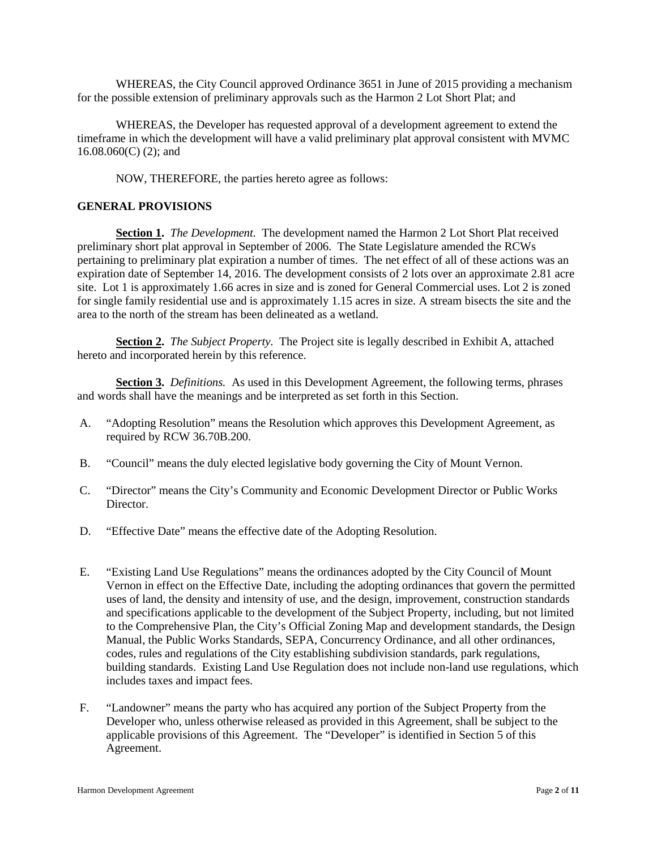WHEREAS, the City Council approved Ordinance 3651 in June of 2015 providing a mechanism for the possible extension of preliminary approvals such as the Harmon 2 Lot Short Plat; and

WHEREAS, the Developer has requested approval of a development agreement to extend the timeframe in which the development will have a valid preliminary plat approval consistent with MVMC 16.08.060(C) (2); and

NOW, THEREFORE, the parties hereto agree as follows:

#### **GENERAL PROVISIONS**

**Section 1.** *The Development.* The development named the Harmon 2 Lot Short Plat received preliminary short plat approval in September of 2006. The State Legislature amended the RCWs pertaining to preliminary plat expiration a number of times. The net effect of all of these actions was an expiration date of September 14, 2016. The development consists of 2 lots over an approximate 2.81 acre site. Lot 1 is approximately 1.66 acres in size and is zoned for General Commercial uses. Lot 2 is zoned for single family residential use and is approximately 1.15 acres in size. A stream bisects the site and the area to the north of the stream has been delineated as a wetland.

**Section 2.** *The Subject Property.* The Project site is legally described in Exhibit A, attached hereto and incorporated herein by this reference.

**Section 3.** *Definitions.* As used in this Development Agreement, the following terms, phrases and words shall have the meanings and be interpreted as set forth in this Section.

- A. "Adopting Resolution" means the Resolution which approves this Development Agreement, as required by RCW 36.70B.200.
- B. "Council" means the duly elected legislative body governing the City of Mount Vernon.
- C. "Director" means the City's Community and Economic Development Director or Public Works Director.
- D. "Effective Date" means the effective date of the Adopting Resolution.
- E. "Existing Land Use Regulations" means the ordinances adopted by the City Council of Mount Vernon in effect on the Effective Date, including the adopting ordinances that govern the permitted uses of land, the density and intensity of use, and the design, improvement, construction standards and specifications applicable to the development of the Subject Property, including, but not limited to the Comprehensive Plan, the City's Official Zoning Map and development standards, the Design Manual, the Public Works Standards, SEPA, Concurrency Ordinance, and all other ordinances, codes, rules and regulations of the City establishing subdivision standards, park regulations, building standards. Existing Land Use Regulation does not include non-land use regulations, which includes taxes and impact fees.
- F. "Landowner" means the party who has acquired any portion of the Subject Property from the Developer who, unless otherwise released as provided in this Agreement, shall be subject to the applicable provisions of this Agreement. The "Developer" is identified in Section 5 of this Agreement.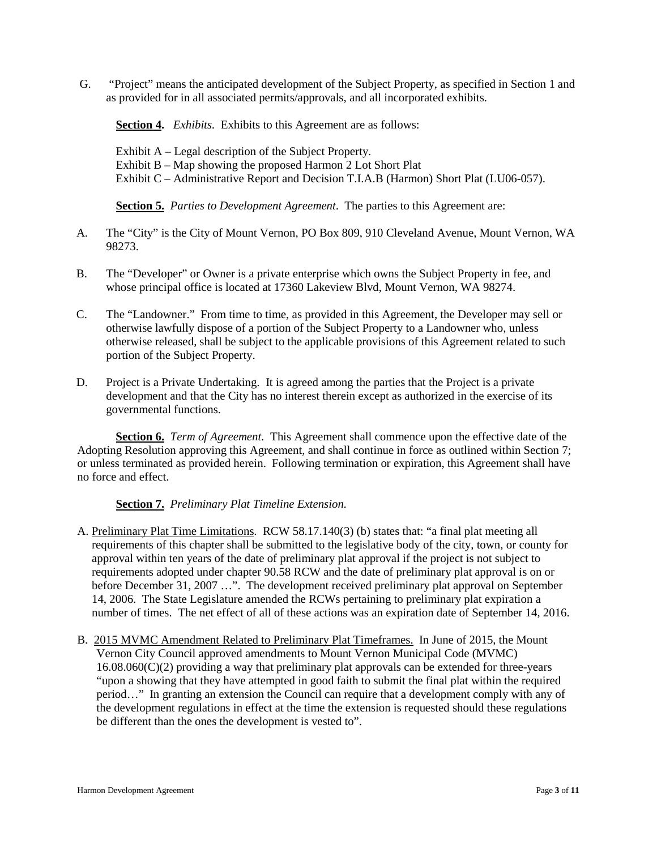G. "Project" means the anticipated development of the Subject Property, as specified in Section 1 and as provided for in all associated permits/approvals, and all incorporated exhibits.

**Section 4.** *Exhibits.* Exhibits to this Agreement are as follows:

Exhibit A – Legal description of the Subject Property. Exhibit B – Map showing the proposed Harmon 2 Lot Short Plat Exhibit C – Administrative Report and Decision T.I.A.B (Harmon) Short Plat (LU06-057).

**Section 5.** *Parties to Development Agreement*. The parties to this Agreement are:

- A. The "City" is the City of Mount Vernon, PO Box 809, 910 Cleveland Avenue, Mount Vernon, WA 98273.
- B. The "Developer" or Owner is a private enterprise which owns the Subject Property in fee, and whose principal office is located at 17360 Lakeview Blvd, Mount Vernon, WA 98274.
- C. The "Landowner." From time to time, as provided in this Agreement, the Developer may sell or otherwise lawfully dispose of a portion of the Subject Property to a Landowner who, unless otherwise released, shall be subject to the applicable provisions of this Agreement related to such portion of the Subject Property.
- D. Project is a Private Undertaking. It is agreed among the parties that the Project is a private development and that the City has no interest therein except as authorized in the exercise of its governmental functions.

**Section 6.** *Term of Agreement.* This Agreement shall commence upon the effective date of the Adopting Resolution approving this Agreement, and shall continue in force as outlined within Section 7; or unless terminated as provided herein. Following termination or expiration, this Agreement shall have no force and effect.

# **Section 7.** *Preliminary Plat Timeline Extension.*

- A. Preliminary Plat Time Limitations. RCW 58.17.140(3) (b) states that: "a final plat meeting all requirements of this chapter shall be submitted to the legislative body of the city, town, or county for approval within ten years of the date of preliminary plat approval if the project is not subject to requirements adopted under chapter 90.58 RCW and the date of preliminary plat approval is on or before December 31, 2007 ...". The development received preliminary plat approval on September 14, 2006. The State Legislature amended the RCWs pertaining to preliminary plat expiration a number of times. The net effect of all of these actions was an expiration date of September 14, 2016.
- B. 2015 MVMC Amendment Related to Preliminary Plat Timeframes. In June of 2015, the Mount Vernon City Council approved amendments to Mount Vernon Municipal Code (MVMC)  $16.08.060(C)(2)$  providing a way that preliminary plat approvals can be extended for three-years "upon a showing that they have attempted in good faith to submit the final plat within the required period…" In granting an extension the Council can require that a development comply with any of the development regulations in effect at the time the extension is requested should these regulations be different than the ones the development is vested to".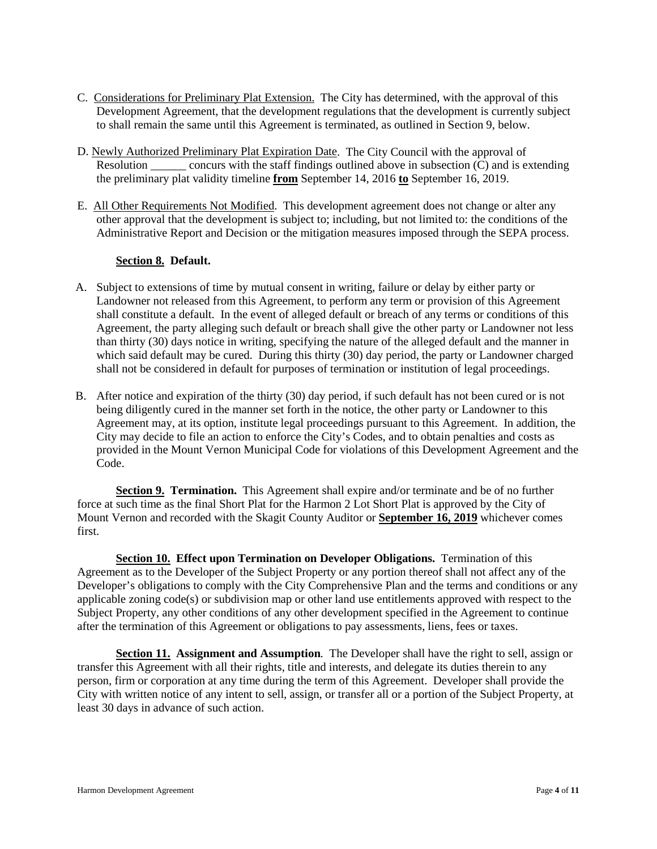- C. Considerations for Preliminary Plat Extension. The City has determined, with the approval of this Development Agreement, that the development regulations that the development is currently subject to shall remain the same until this Agreement is terminated, as outlined in Section 9, below.
- D. Newly Authorized Preliminary Plat Expiration Date. The City Council with the approval of Resolution concurs with the staff findings outlined above in subsection (C) and is extending the preliminary plat validity timeline **from** September 14, 2016 **to** September 16, 2019.
- E. All Other Requirements Not Modified. This development agreement does not change or alter any other approval that the development is subject to; including, but not limited to: the conditions of the Administrative Report and Decision or the mitigation measures imposed through the SEPA process.

#### **Section 8. Default.**

- A. Subject to extensions of time by mutual consent in writing, failure or delay by either party or Landowner not released from this Agreement, to perform any term or provision of this Agreement shall constitute a default. In the event of alleged default or breach of any terms or conditions of this Agreement, the party alleging such default or breach shall give the other party or Landowner not less than thirty (30) days notice in writing, specifying the nature of the alleged default and the manner in which said default may be cured. During this thirty (30) day period, the party or Landowner charged shall not be considered in default for purposes of termination or institution of legal proceedings.
- B. After notice and expiration of the thirty (30) day period, if such default has not been cured or is not being diligently cured in the manner set forth in the notice, the other party or Landowner to this Agreement may, at its option, institute legal proceedings pursuant to this Agreement. In addition, the City may decide to file an action to enforce the City's Codes, and to obtain penalties and costs as provided in the Mount Vernon Municipal Code for violations of this Development Agreement and the Code.

**Section 9. Termination.** This Agreement shall expire and/or terminate and be of no further force at such time as the final Short Plat for the Harmon 2 Lot Short Plat is approved by the City of Mount Vernon and recorded with the Skagit County Auditor or **September 16, 2019** whichever comes first.

**Section 10. Effect upon Termination on Developer Obligations.** Termination of this Agreement as to the Developer of the Subject Property or any portion thereof shall not affect any of the Developer's obligations to comply with the City Comprehensive Plan and the terms and conditions or any applicable zoning code(s) or subdivision map or other land use entitlements approved with respect to the Subject Property, any other conditions of any other development specified in the Agreement to continue after the termination of this Agreement or obligations to pay assessments, liens, fees or taxes.

**Section 11. Assignment and Assumption***.* The Developer shall have the right to sell, assign or transfer this Agreement with all their rights, title and interests, and delegate its duties therein to any person, firm or corporation at any time during the term of this Agreement. Developer shall provide the City with written notice of any intent to sell, assign, or transfer all or a portion of the Subject Property, at least 30 days in advance of such action.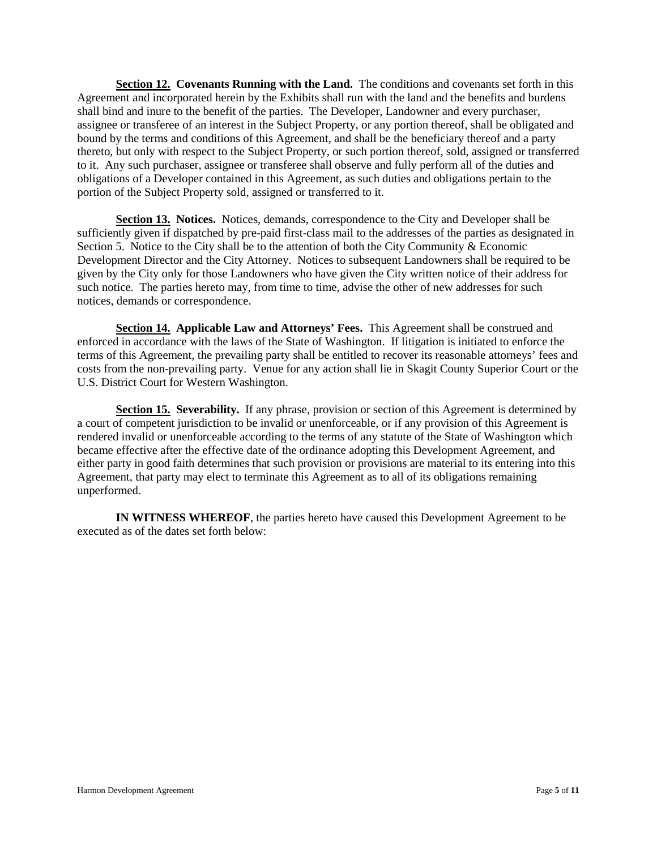**Section 12. Covenants Running with the Land.** The conditions and covenants set forth in this Agreement and incorporated herein by the Exhibits shall run with the land and the benefits and burdens shall bind and inure to the benefit of the parties. The Developer, Landowner and every purchaser, assignee or transferee of an interest in the Subject Property, or any portion thereof, shall be obligated and bound by the terms and conditions of this Agreement, and shall be the beneficiary thereof and a party thereto, but only with respect to the Subject Property, or such portion thereof, sold, assigned or transferred to it. Any such purchaser, assignee or transferee shall observe and fully perform all of the duties and obligations of a Developer contained in this Agreement, as such duties and obligations pertain to the portion of the Subject Property sold, assigned or transferred to it.

**Section 13. Notices.** Notices, demands, correspondence to the City and Developer shall be sufficiently given if dispatched by pre-paid first-class mail to the addresses of the parties as designated in Section 5. Notice to the City shall be to the attention of both the City Community & Economic Development Director and the City Attorney. Notices to subsequent Landowners shall be required to be given by the City only for those Landowners who have given the City written notice of their address for such notice. The parties hereto may, from time to time, advise the other of new addresses for such notices, demands or correspondence.

**Section 14. Applicable Law and Attorneys' Fees.** This Agreement shall be construed and enforced in accordance with the laws of the State of Washington. If litigation is initiated to enforce the terms of this Agreement, the prevailing party shall be entitled to recover its reasonable attorneys' fees and costs from the non-prevailing party. Venue for any action shall lie in Skagit County Superior Court or the U.S. District Court for Western Washington.

**Section 15. Severability.** If any phrase, provision or section of this Agreement is determined by a court of competent jurisdiction to be invalid or unenforceable, or if any provision of this Agreement is rendered invalid or unenforceable according to the terms of any statute of the State of Washington which became effective after the effective date of the ordinance adopting this Development Agreement, and either party in good faith determines that such provision or provisions are material to its entering into this Agreement, that party may elect to terminate this Agreement as to all of its obligations remaining unperformed.

**IN WITNESS WHEREOF**, the parties hereto have caused this Development Agreement to be executed as of the dates set forth below: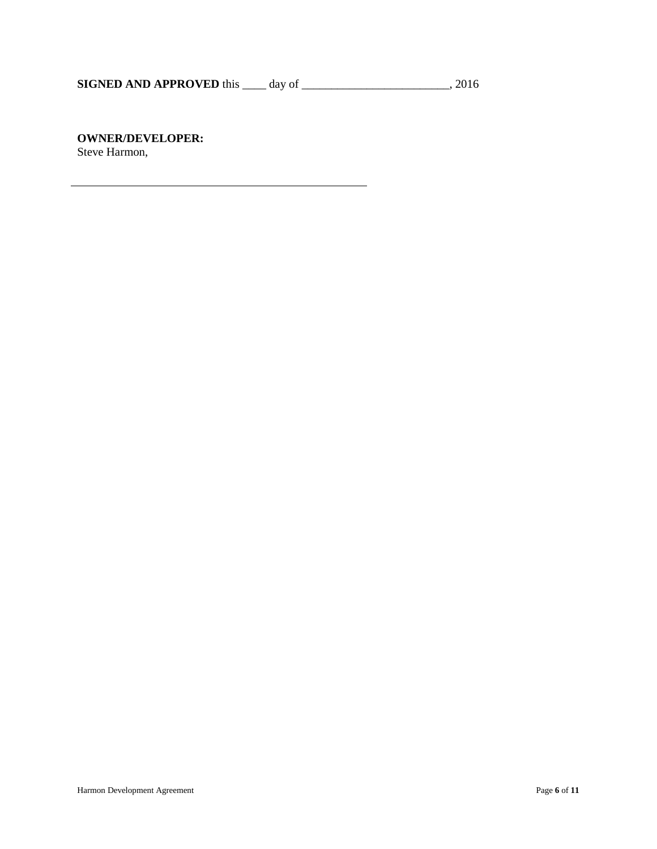# **OWNER/DEVELOPER:**

Steve Harmon,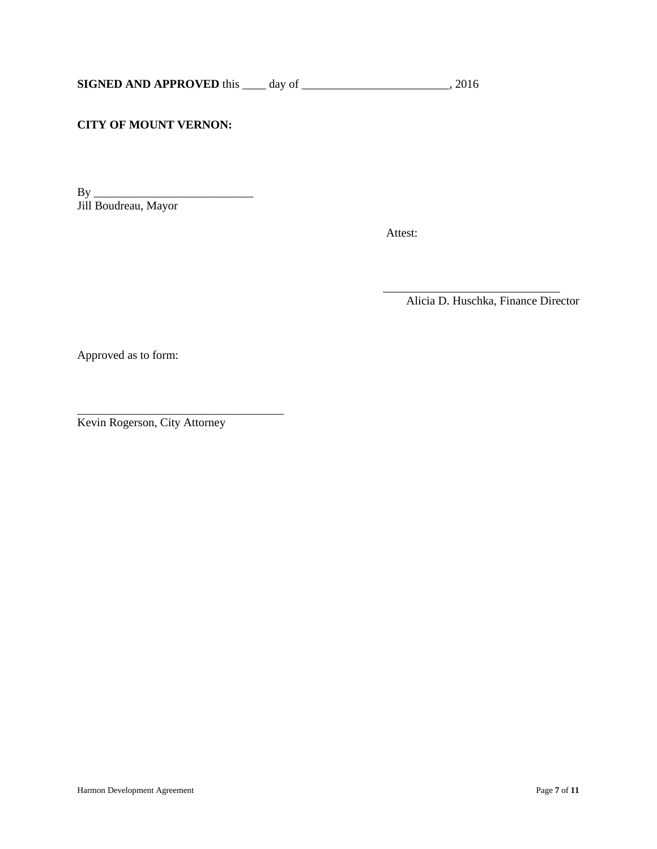# **CITY OF MOUNT VERNON:**

By \_\_\_\_\_\_\_\_\_\_\_\_\_\_\_\_\_\_\_\_\_\_\_\_\_\_\_ Jill Boudreau, Mayor

Attest:

 $\frac{1}{\sqrt{2}}$  ,  $\frac{1}{\sqrt{2}}$  ,  $\frac{1}{\sqrt{2}}$  ,  $\frac{1}{\sqrt{2}}$  ,  $\frac{1}{\sqrt{2}}$  ,  $\frac{1}{\sqrt{2}}$  ,  $\frac{1}{\sqrt{2}}$  ,  $\frac{1}{\sqrt{2}}$  ,  $\frac{1}{\sqrt{2}}$  ,  $\frac{1}{\sqrt{2}}$  ,  $\frac{1}{\sqrt{2}}$  ,  $\frac{1}{\sqrt{2}}$  ,  $\frac{1}{\sqrt{2}}$  ,  $\frac{1}{\sqrt{2}}$  ,  $\frac{1}{\sqrt{2}}$ Alicia D. Huschka, Finance Director

Approved as to form:

\_\_\_\_\_\_\_\_\_\_\_\_\_\_\_\_\_\_\_\_\_\_\_\_\_\_\_\_\_\_\_\_\_\_\_ Kevin Rogerson, City Attorney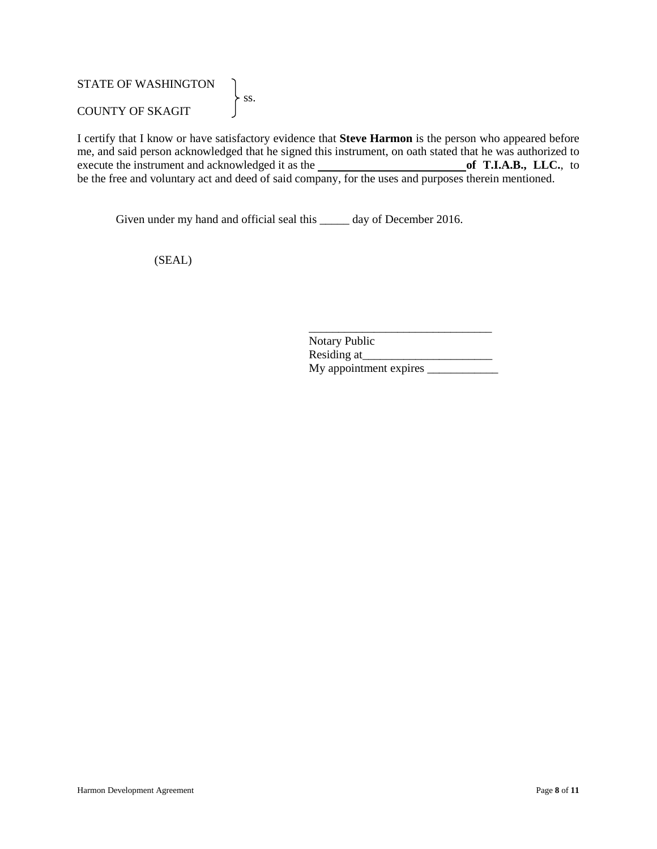# STATE OF WASHINGTON  $\left\{\n \begin{array}{c}\n \text{ss.}\n \end{array}\n\right.$ COUNTY OF SKAGIT

I certify that I know or have satisfactory evidence that **Steve Harmon** is the person who appeared before me, and said person acknowledged that he signed this instrument, on oath stated that he was authorized to execute the instrument and acknowledged it as the **of T.I.A.B.**, LLC., to execute the instrument and acknowledged it as the be the free and voluntary act and deed of said company, for the uses and purposes therein mentioned.

Given under my hand and official seal this \_\_\_\_\_\_ day of December 2016.

(SEAL)

| <b>Notary Public</b>   |  |
|------------------------|--|
| Residing at            |  |
| My appointment expires |  |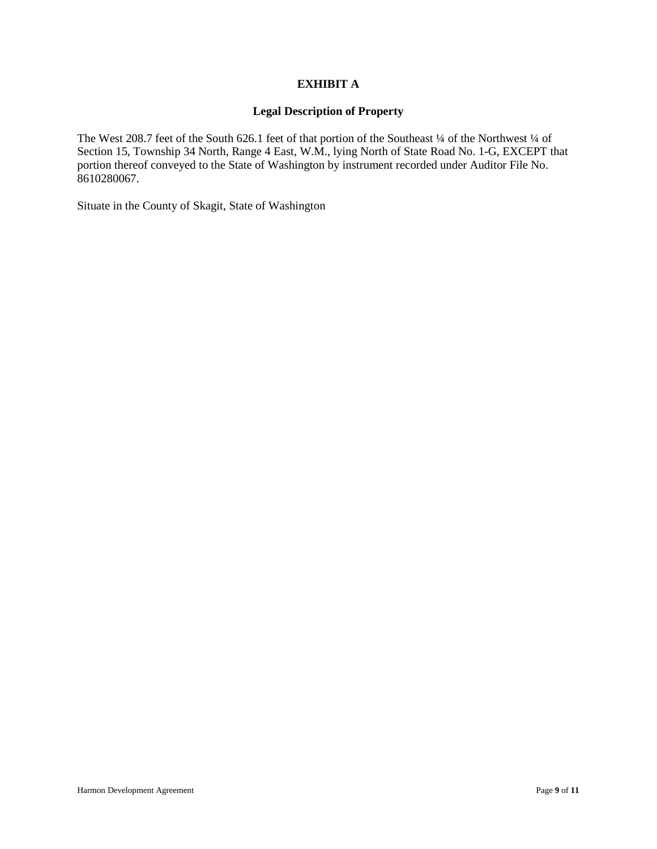# **EXHIBIT A**

#### **Legal Description of Property**

The West 208.7 feet of the South 626.1 feet of that portion of the Southeast 1/4 of the Northwest 1/4 of Section 15, Township 34 North, Range 4 East, W.M., lying North of State Road No. 1-G, EXCEPT that portion thereof conveyed to the State of Washington by instrument recorded under Auditor File No. 8610280067.

Situate in the County of Skagit, State of Washington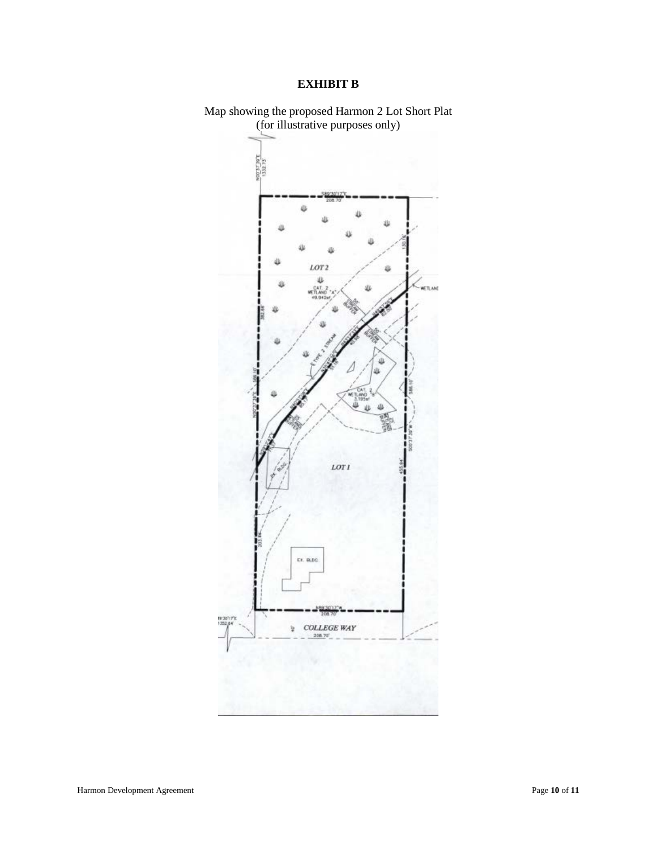# **EXHIBIT B**



Map showing the proposed Harmon 2 Lot Short Plat (for illustrative purposes only)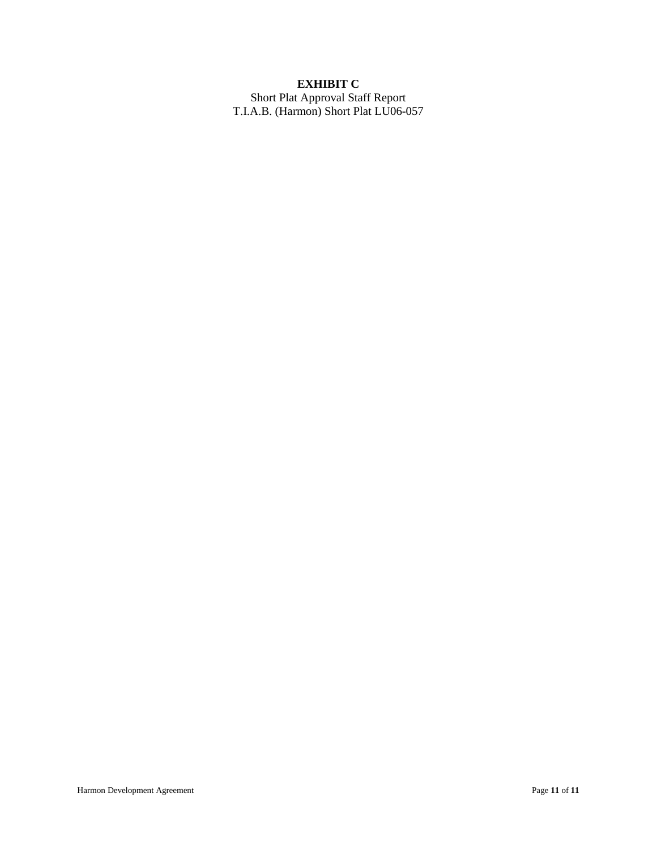# **EXHIBIT C**

Short Plat Approval Staff Report T.I.A.B. (Harmon) Short Plat LU06-057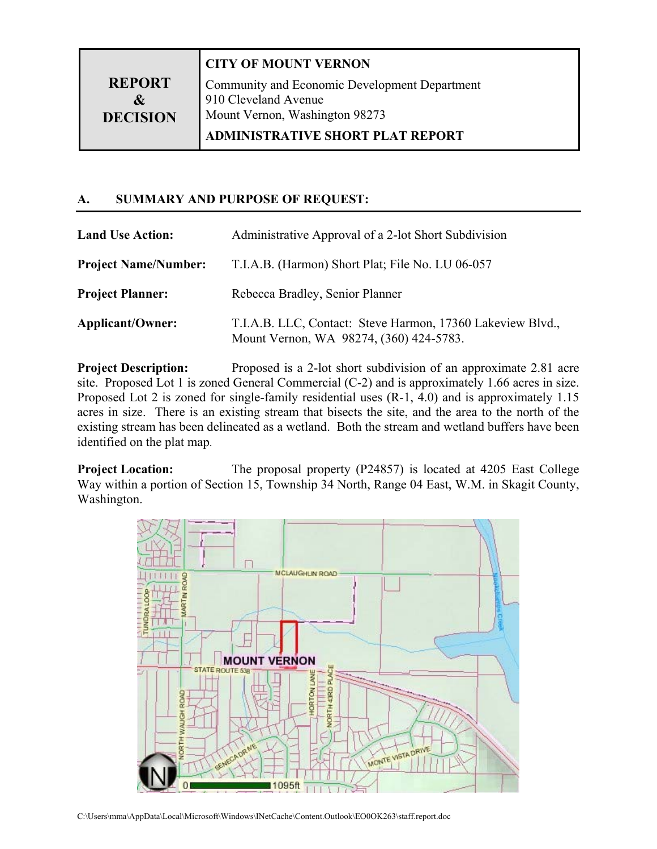|                                                   | <b>CITY OF MOUNT VERNON</b>                   |  |
|---------------------------------------------------|-----------------------------------------------|--|
| <b>REPORT</b>                                     | Community and Economic Development Department |  |
| &                                                 | 910 Cleveland Avenue                          |  |
| Mount Vernon, Washington 98273<br><b>DECISION</b> |                                               |  |
|                                                   | <b>ADMINISTRATIVE SHORT PLAT REPORT</b>       |  |

# **A. SUMMARY AND PURPOSE OF REQUEST:**

| <b>Land Use Action:</b>     | Administrative Approval of a 2-lot Short Subdivision                                                  |
|-----------------------------|-------------------------------------------------------------------------------------------------------|
| <b>Project Name/Number:</b> | T.I.A.B. (Harmon) Short Plat; File No. LU 06-057                                                      |
| <b>Project Planner:</b>     | Rebecca Bradley, Senior Planner                                                                       |
| <b>Applicant/Owner:</b>     | T.I.A.B. LLC, Contact: Steve Harmon, 17360 Lakeview Blvd.,<br>Mount Vernon, WA 98274, (360) 424-5783. |

**Project Description:** Proposed is a 2-lot short subdivision of an approximate 2.81 acre site. Proposed Lot 1 is zoned General Commercial (C-2) and is approximately 1.66 acres in size. Proposed Lot 2 is zoned for single-family residential uses (R-1, 4.0) and is approximately 1.15 acres in size. There is an existing stream that bisects the site, and the area to the north of the existing stream has been delineated as a wetland. Both the stream and wetland buffers have been identified on the plat map.

**Project Location:** The proposal property (P24857) is located at 4205 East College Way within a portion of Section 15, Township 34 North, Range 04 East, W.M. in Skagit County, Washington.

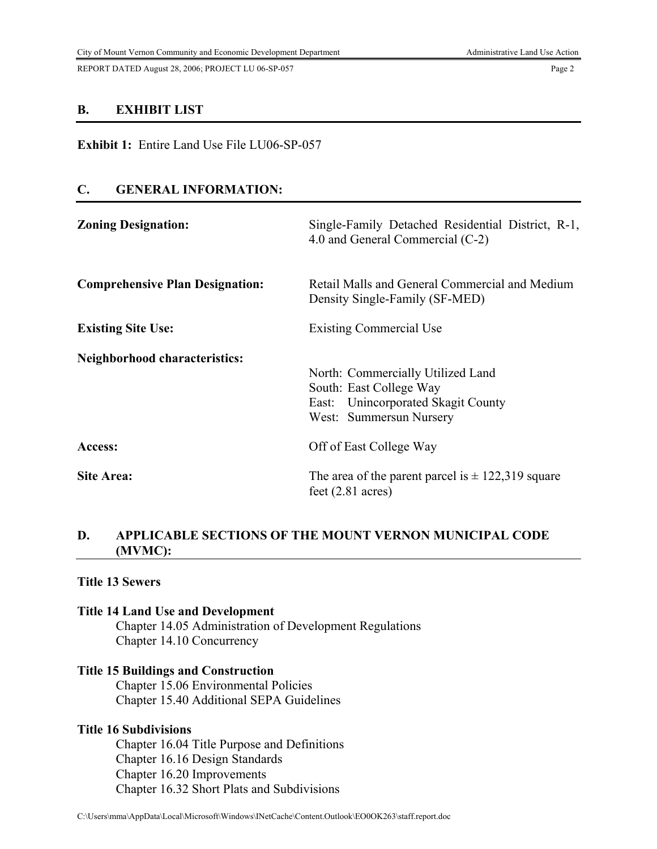REPORT DATED August 28, 2006; PROJECT LU 06-SP-057 Page 2

#### **B. EXHIBIT LIST**

**Exhibit 1:** Entire Land Use File LU06-SP-057

# **C. GENERAL INFORMATION:**

| <b>Zoning Designation:</b>             | Single-Family Detached Residential District, R-1,<br>4.0 and General Commercial (C-2)                                         |
|----------------------------------------|-------------------------------------------------------------------------------------------------------------------------------|
| <b>Comprehensive Plan Designation:</b> | Retail Malls and General Commercial and Medium<br>Density Single-Family (SF-MED)                                              |
| <b>Existing Site Use:</b>              | <b>Existing Commercial Use</b>                                                                                                |
| <b>Neighborhood characteristics:</b>   | North: Commercially Utilized Land<br>South: East College Way<br>East: Unincorporated Skagit County<br>West: Summersun Nursery |
| Access:                                | Off of East College Way                                                                                                       |
| <b>Site Area:</b>                      | The area of the parent parcel is $\pm$ 122,319 square<br>feet $(2.81 \text{ acres})$                                          |

# **D. APPLICABLE SECTIONS OF THE MOUNT VERNON MUNICIPAL CODE (MVMC):**

## **Title 13 Sewers**

#### **Title 14 Land Use and Development**

 Chapter 14.05 Administration of Development Regulations Chapter 14.10 Concurrency

#### **Title 15 Buildings and Construction**

Chapter 15.06 Environmental Policies Chapter 15.40 Additional SEPA Guidelines

# **Title 16 Subdivisions**

 Chapter 16.04 Title Purpose and Definitions Chapter 16.16 Design Standards Chapter 16.20 Improvements Chapter 16.32 Short Plats and Subdivisions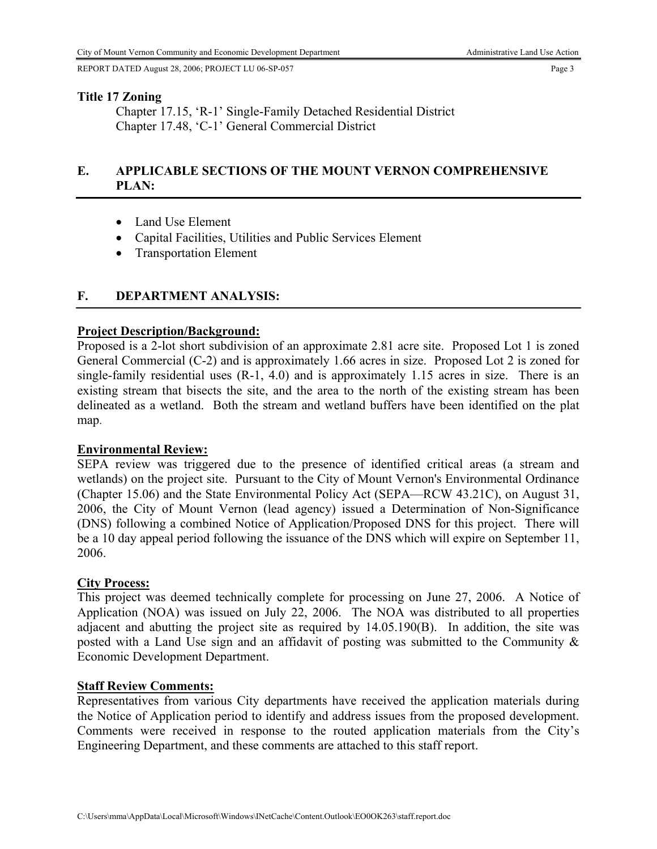REPORT DATED August 28, 2006; PROJECT LU 06-SP-057 Page 3

### **Title 17 Zoning**

 Chapter 17.15, 'R-1' Single-Family Detached Residential District Chapter 17.48, 'C-1' General Commercial District

# **E. APPLICABLE SECTIONS OF THE MOUNT VERNON COMPREHENSIVE PLAN:**

- Land Use Element
- Capital Facilities, Utilities and Public Services Element
- Transportation Element

# **F. DEPARTMENT ANALYSIS:**

## **Project Description/Background:**

Proposed is a 2-lot short subdivision of an approximate 2.81 acre site. Proposed Lot 1 is zoned General Commercial (C-2) and is approximately 1.66 acres in size. Proposed Lot 2 is zoned for single-family residential uses (R-1, 4.0) and is approximately 1.15 acres in size. There is an existing stream that bisects the site, and the area to the north of the existing stream has been delineated as a wetland. Both the stream and wetland buffers have been identified on the plat map.

## **Environmental Review:**

SEPA review was triggered due to the presence of identified critical areas (a stream and wetlands) on the project site. Pursuant to the City of Mount Vernon's Environmental Ordinance (Chapter 15.06) and the State Environmental Policy Act (SEPA—RCW 43.21C), on August 31, 2006, the City of Mount Vernon (lead agency) issued a Determination of Non-Significance (DNS) following a combined Notice of Application/Proposed DNS for this project. There will be a 10 day appeal period following the issuance of the DNS which will expire on September 11, 2006.

# **City Process:**

This project was deemed technically complete for processing on June 27, 2006. A Notice of Application (NOA) was issued on July 22, 2006. The NOA was distributed to all properties adjacent and abutting the project site as required by 14.05.190(B). In addition, the site was posted with a Land Use sign and an affidavit of posting was submitted to the Community & Economic Development Department.

## **Staff Review Comments:**

Representatives from various City departments have received the application materials during the Notice of Application period to identify and address issues from the proposed development. Comments were received in response to the routed application materials from the City's Engineering Department, and these comments are attached to this staff report.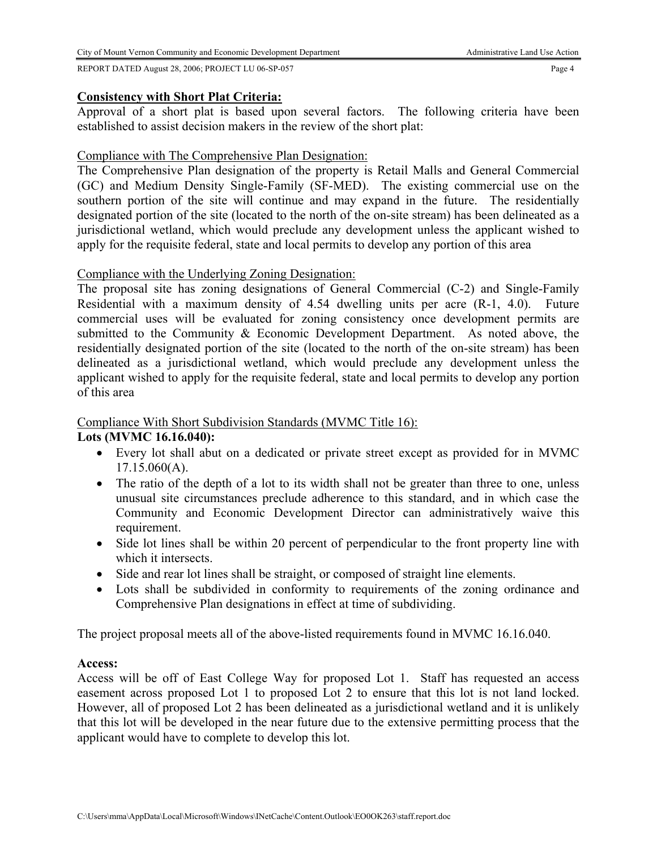#### City of Mount Vernon Community and Economic Development Department Administrative Land Use Action

REPORT DATED August 28, 2006; PROJECT LU 06-SP-057 Page 4

# **Consistency with Short Plat Criteria:**

Approval of a short plat is based upon several factors. The following criteria have been established to assist decision makers in the review of the short plat:

# Compliance with The Comprehensive Plan Designation:

The Comprehensive Plan designation of the property is Retail Malls and General Commercial (GC) and Medium Density Single-Family (SF-MED). The existing commercial use on the southern portion of the site will continue and may expand in the future. The residentially designated portion of the site (located to the north of the on-site stream) has been delineated as a jurisdictional wetland, which would preclude any development unless the applicant wished to apply for the requisite federal, state and local permits to develop any portion of this area

# Compliance with the Underlying Zoning Designation:

The proposal site has zoning designations of General Commercial (C-2) and Single-Family Residential with a maximum density of 4.54 dwelling units per acre (R-1, 4.0). Future commercial uses will be evaluated for zoning consistency once development permits are submitted to the Community & Economic Development Department. As noted above, the residentially designated portion of the site (located to the north of the on-site stream) has been delineated as a jurisdictional wetland, which would preclude any development unless the applicant wished to apply for the requisite federal, state and local permits to develop any portion of this area

# Compliance With Short Subdivision Standards (MVMC Title 16):

# **Lots (MVMC 16.16.040):**

- Every lot shall abut on a dedicated or private street except as provided for in MVMC 17.15.060(A).
- The ratio of the depth of a lot to its width shall not be greater than three to one, unless unusual site circumstances preclude adherence to this standard, and in which case the Community and Economic Development Director can administratively waive this requirement.
- Side lot lines shall be within 20 percent of perpendicular to the front property line with which it intersects.
- Side and rear lot lines shall be straight, or composed of straight line elements.
- Lots shall be subdivided in conformity to requirements of the zoning ordinance and Comprehensive Plan designations in effect at time of subdividing.

The project proposal meets all of the above-listed requirements found in MVMC 16.16.040.

# **Access:**

Access will be off of East College Way for proposed Lot 1. Staff has requested an access easement across proposed Lot 1 to proposed Lot 2 to ensure that this lot is not land locked. However, all of proposed Lot 2 has been delineated as a jurisdictional wetland and it is unlikely that this lot will be developed in the near future due to the extensive permitting process that the applicant would have to complete to develop this lot.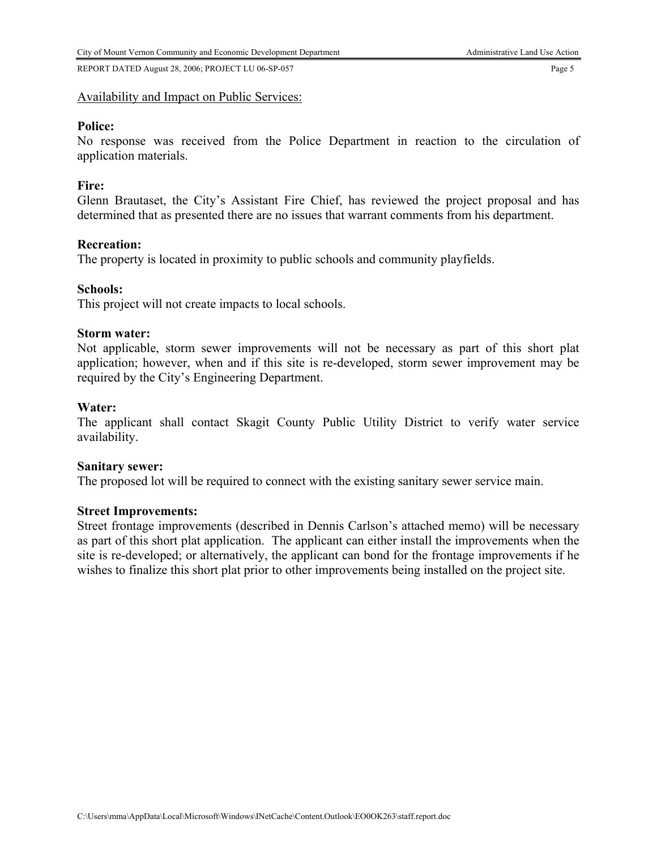REPORT DATED August 28, 2006; PROJECT LU 06-SP-057 Page 5

# Availability and Impact on Public Services:

# **Police:**

No response was received from the Police Department in reaction to the circulation of application materials.

# **Fire:**

Glenn Brautaset, the City's Assistant Fire Chief, has reviewed the project proposal and has determined that as presented there are no issues that warrant comments from his department.

# **Recreation:**

The property is located in proximity to public schools and community playfields.

# **Schools:**

This project will not create impacts to local schools.

# **Storm water:**

Not applicable, storm sewer improvements will not be necessary as part of this short plat application; however, when and if this site is re-developed, storm sewer improvement may be required by the City's Engineering Department.

# **Water:**

The applicant shall contact Skagit County Public Utility District to verify water service availability.

# **Sanitary sewer:**

The proposed lot will be required to connect with the existing sanitary sewer service main.

# **Street Improvements:**

Street frontage improvements (described in Dennis Carlson's attached memo) will be necessary as part of this short plat application. The applicant can either install the improvements when the site is re-developed; or alternatively, the applicant can bond for the frontage improvements if he wishes to finalize this short plat prior to other improvements being installed on the project site.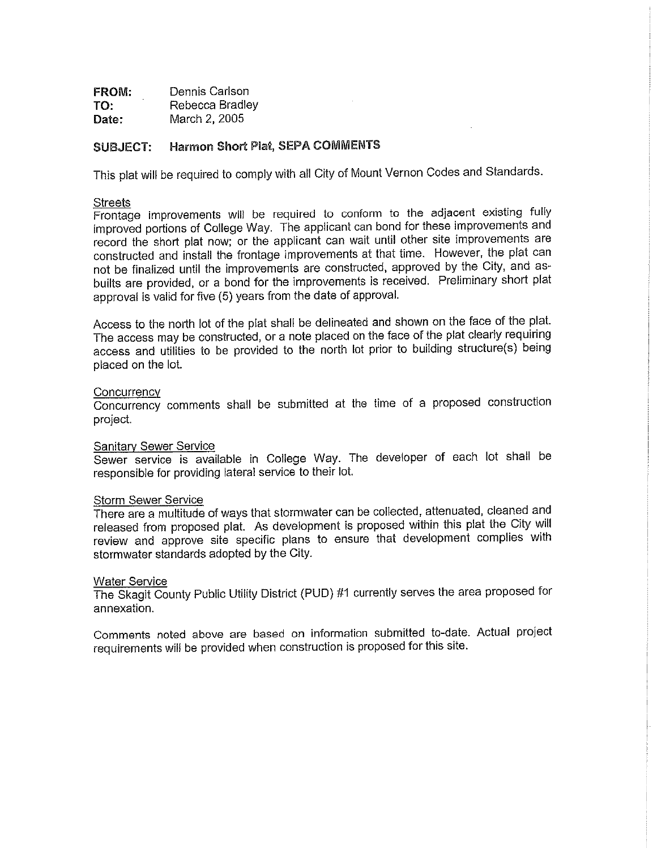| FROM:   | Dennis Carlson  |
|---------|-----------------|
| <br>TO: | Rebecca Bradley |
| Date:   | March 2, 2005   |

### SUBJECT: Harmon Short Plat, SEPA COMMENTS

This plat will be required to comply with all City of Mount Vernon Codes and Standards.

#### **Streets**

Frontage improvements will be required to conform to the adjacent existing fully improved portions of College Way. The applicant can bond for these improvements and record the short plat now, or the applicant can wait until other site improvements are constructed and install the frontage improvements at that time. However, the plat can not be finalized until the improvements are constructed, approved by the City, and asbuilts are provided, or a bond for the improvements is received. Preliminary short plat approval is valid for five (5) years from the date of approval.

Access to the north lot of the plat shall be delineated and shown on the face of the plat. The access may be constructed, or a note placed on the face of the plat clearly requiring access and utilities to be provided to the north lot prior to building structure(s) being placed on the lot.

#### Concurrency

Concurrency comments shall be submitted at the time of a proposed construction project.

#### **Sanitary Sewer Service**

Sewer service is available in College Way. The developer of each lot shall be responsible for providing lateral service to their lot.

#### Storm Sewer Service

There are a multitude of ways that stormwater can be collected, attenuated, cleaned and released from proposed plat. As development is proposed within this plat the City will review and approve site specific plans to ensure that development complies with stormwater standards adopted by the City.

#### **Water Service**

The Skagit County Public Utility District (PUD) #1 currently serves the area proposed for annexation.

Comments noted above are based on information submitted to-date. Actual project requirements will be provided when construction is proposed for this site.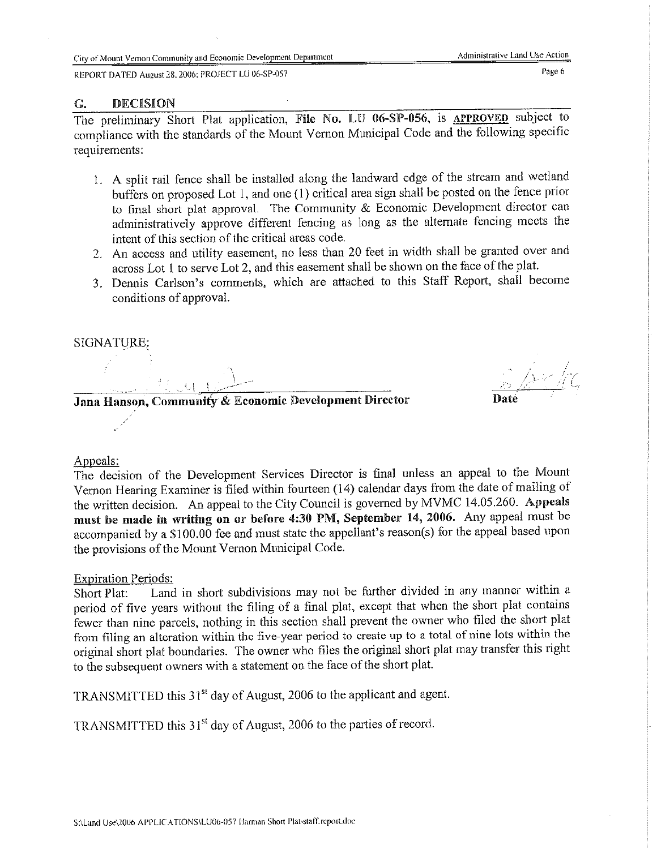REPORT DATED August 28, 2006; PROJECT LU 06-SP-057

#### $G$ . **DECISION**

The preliminary Short Plat application, File No. LU 06-SP-056, is APPROVED subject to compliance with the standards of the Mount Vernon Municipal Code and the following specific requirements:

- 1. A split rail fence shall be installed along the landward edge of the stream and wetland buffers on proposed Lot 1, and one (1) critical area sign shall be posted on the fence prior to final short plat approval. The Community & Economic Development director can administratively approve different fencing as long as the alternate fencing meets the intent of this section of the critical areas code.
- 2. An access and utility easement, no less than 20 feet in width shall be granted over and across Lot 1 to serve Lot 2, and this easement shall be shown on the face of the plat.
- 3. Dennis Carlson's comments, which are attached to this Staff Report, shall become conditions of approval.

SIGNATURE:

Jana Hanson, Community & Economic Development Director

# Appeals:

The decision of the Development Services Director is final unless an appeal to the Mount Vernon Hearing Examiner is filed within fourteen (14) calendar days from the date of mailing of the written decision. An appeal to the City Council is governed by MVMC 14.05.260. Appeals must be made in writing on or before 4:30 PM, September 14, 2006. Any appeal must be accompanied by a \$100.00 fee and must state the appellant's reason(s) for the appeal based upon the provisions of the Mount Vernon Municipal Code.

#### **Expiration Periods:**

Land in short subdivisions may not be further divided in any manner within a Short Plat: period of five years without the filing of a final plat, except that when the short plat contains fewer than nine parcels, nothing in this section shall prevent the owner who filed the short plat from filing an alteration within the five-year period to create up to a total of nine lots within the original short plat boundaries. The owner who files the original short plat may transfer this right to the subsequent owners with a statement on the face of the short plat.

TRANSMITTED this 31<sup>st</sup> day of August, 2006 to the applicant and agent.

TRANSMITTED this 31<sup>st</sup> day of August, 2006 to the parties of record.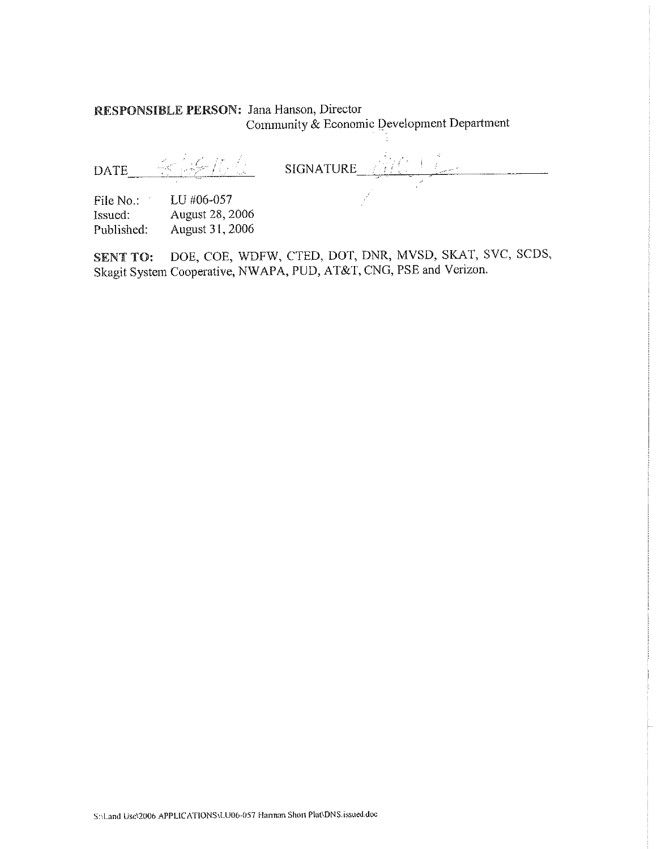# RESPONSIBLE PERSON: Jana Hanson, Director Community & Economic Development Department

<u>ELEIGE</u> SIGNATURE AIR L **DATE** LU #06-057 File No.:

Issued: August 28, 2006 August 31, 2006 Published:

DOE, COE, WDFW, CTED, DOT, DNR, MVSD, SKAT, SVC, SCDS, **SENT TO:** Skagit System Cooperative, NWAPA, PUD, AT&T, CNG, PSE and Verizon.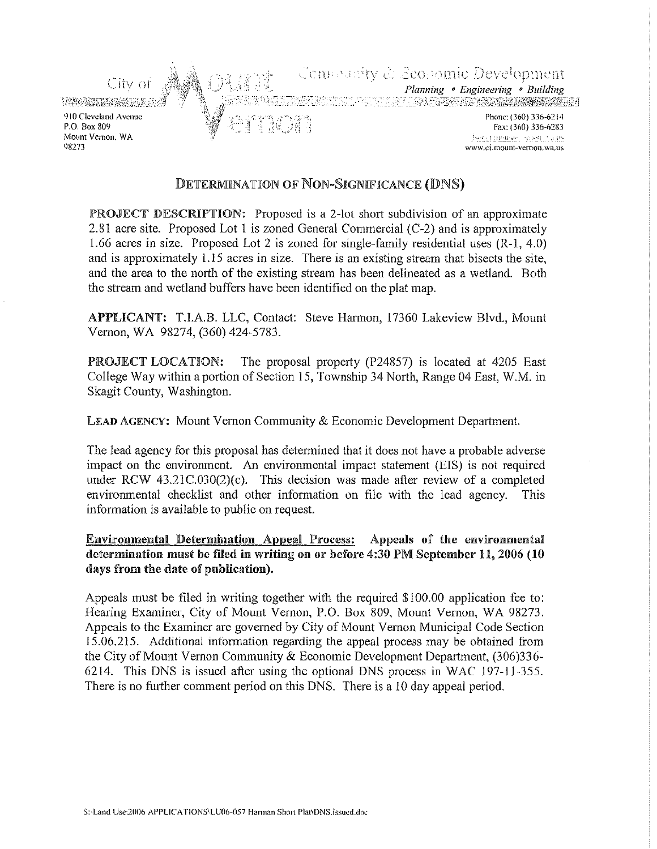

# DETERMINATION OF NON-SIGNIFICANCE (DNS)

PROJECT DESCRIPTION: Proposed is a 2-lot short subdivision of an approximate 2.81 acre site. Proposed Lot 1 is zoned General Commercial (C-2) and is approximately 1.66 acres in size. Proposed Lot 2 is zoned for single-family residential uses  $(R-1, 4.0)$ and is approximately 1.15 acres in size. There is an existing stream that bisects the site, and the area to the north of the existing stream has been delineated as a wetland. Both the stream and wetland buffers have been identified on the plat map.

APPLICANT: T.I.A.B. LLC, Contact: Steve Harmon, 17360 Lakeview Blvd., Mount Vernon, WA 98274, (360) 424-5783.

PROJECT LOCATION: The proposal property (P24857) is located at 4205 East College Way within a portion of Section 15, Township 34 North, Range 04 East, W.M. in Skagit County, Washington.

LEAD AGENCY: Mount Vernon Community & Economic Development Department.

The lead agency for this proposal has determined that it does not have a probable adverse impact on the environment. An environmental impact statement (EIS) is not required under RCW  $43.21C.030(2)(c)$ . This decision was made after review of a completed environmental checklist and other information on file with the lead agency. This information is available to public on request.

**Environmental Determination Appeal Process:** Appeals of the environmental determination must be filed in writing on or before 4:30 PM September 11, 2006 (10 days from the date of publication).

Appeals must be filed in writing together with the required \$100.00 application fee to: Hearing Examiner, City of Mount Vernon, P.O. Box 809, Mount Vernon, WA 98273. Appeals to the Examiner are governed by City of Mount Vernon Municipal Code Section 15.06.215. Additional information regarding the appeal process may be obtained from the City of Mount Vernon Community & Economic Development Department, (306)336-6214. This DNS is issued after using the optional DNS process in WAC 197-11-355. There is no further comment period on this DNS. There is a 10 day appeal period.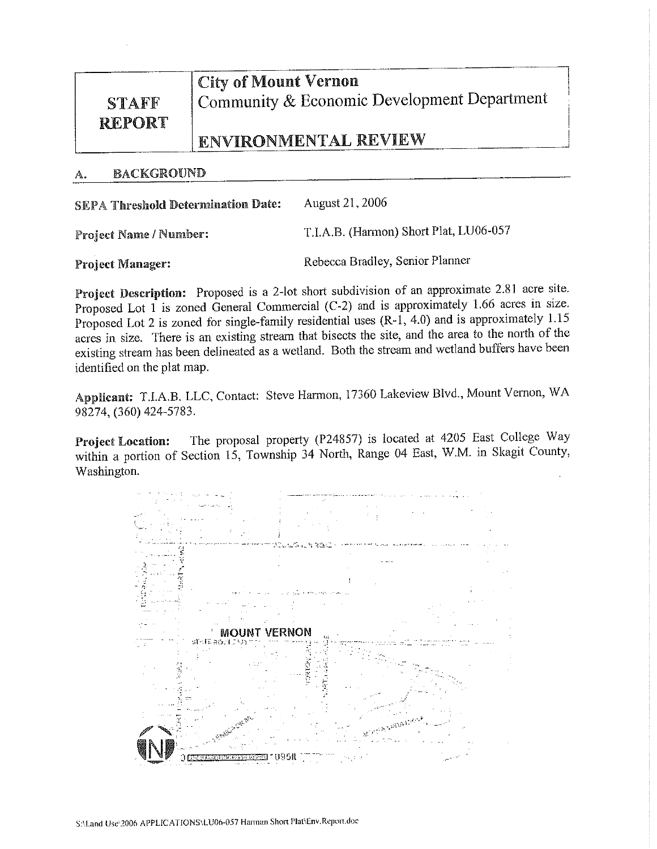# **STAFF REPORT**

**City of Mount Vernon** Community & Economic Development Department

# **ENVIRONMENTAL REVIEW**

#### **BACKGROUND** А.

| <b>SEPA Threshold Determination Date:</b> | August 21, 2006                        |
|-------------------------------------------|----------------------------------------|
| Project Name / Number:                    | T.I.A.B. (Harmon) Short Plat, LU06-057 |

**Project Manager:** 

Rebecca Bradley, Senior Planner

Project Description: Proposed is a 2-lot short subdivision of an approximate 2.81 acre site. Proposed Lot 1 is zoned General Commercial (C-2) and is approximately 1.66 acres in size. Proposed Lot 2 is zoned for single-family residential uses  $(R-1, 4.0)$  and is approximately 1.15 acres in size. There is an existing stream that bisects the site, and the area to the north of the existing stream has been delineated as a wetland. Both the stream and wetland buffers have been identified on the plat map.

Applicant: T.I.A.B. LLC, Contact: Steve Harmon, 17360 Lakeview Blvd., Mount Vernon, WA 98274, (360) 424-5783.

The proposal property (P24857) is located at 4205 East College Way **Project Location:** within a portion of Section 15, Township 34 North, Range 04 East, W.M. in Skagit County, Washington.

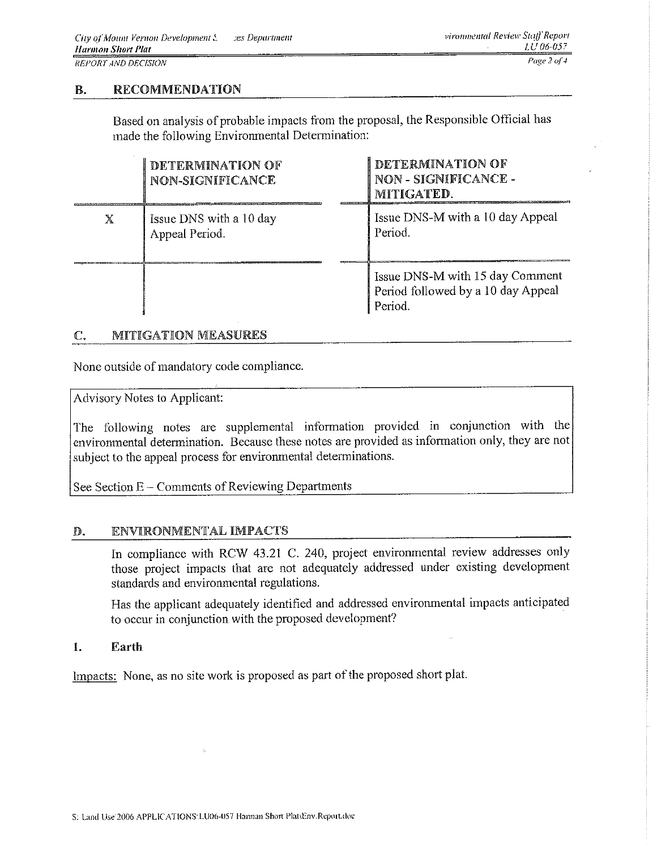#### **RECOMMENDATION** В.

Based on analysis of probable impacts from the proposal, the Responsible Official has made the following Environmental Determination:

|   | DETERMINATION OF<br>NON-SIGNIFICANCE      | DETERMINATION OF<br>NON - SIGNIFICANCE -<br>MITIGATED.                           |
|---|-------------------------------------------|----------------------------------------------------------------------------------|
| X | Issue DNS with a 10 day<br>Appeal Period. | Issue DNS-M with a 10 day Appeal<br>Period.                                      |
|   |                                           | Issue DNS-M with 15 day Comment<br>Period followed by a 10 day Appeal<br>Period. |

#### MITIGATION MEASURES  $\mathbb{C}.$

None outside of mandatory code compliance.

Advisory Notes to Applicant:

The following notes are supplemental information provided in conjunction with the environmental determination. Because these notes are provided as information only, they are not subject to the appeal process for environmental determinations.

See Section E – Comments of Reviewing Departments

#### ENVIRONMENTAL IMPACTS D.

In compliance with RCW 43.21 C. 240, project environmental review addresses only those project impacts that are not adequately addressed under existing development standards and environmental regulations.

Has the applicant adequately identified and addressed environmental impacts anticipated to occur in conjunction with the proposed development?

#### 1. Earth

Impacts: None, as no site work is proposed as part of the proposed short plat.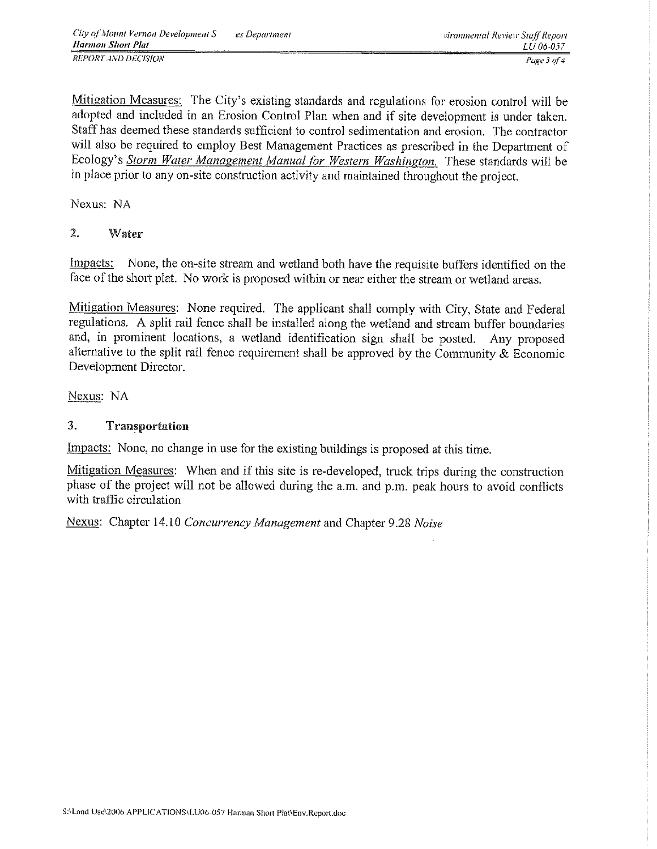Mitigation Measures: The City's existing standards and regulations for erosion control will be adopted and included in an Erosion Control Plan when and if site development is under taken. Staff has deemed these standards sufficient to control sedimentation and erosion. The contractor will also be required to employ Best Management Practices as prescribed in the Department of Ecology's Storm Water Management Manual for Western Washington. These standards will be in place prior to any on-site construction activity and maintained throughout the project.

Nexus: NA

#### $\overline{2}$ . Water

None, the on-site stream and wetland both have the requisite buffers identified on the Impacts: face of the short plat. No work is proposed within or near either the stream or wetland areas.

Mitigation Measures: None required. The applicant shall comply with City, State and Federal regulations. A split rail fence shall be installed along the wetland and stream buffer boundaries and, in prominent locations, a wetland identification sign shall be posted. Any proposed alternative to the split rail fence requirement shall be approved by the Community & Economic Development Director.

Nexus: NA

#### $\mathcal{R}_{\mathcal{L}}$ Transportation

Impacts: None, no change in use for the existing buildings is proposed at this time.

Mitigation Measures: When and if this site is re-developed, truck trips during the construction phase of the project will not be allowed during the a.m. and p.m. peak hours to avoid conflicts with traffic circulation

Nexus: Chapter 14.10 Concurrency Management and Chapter 9.28 Noise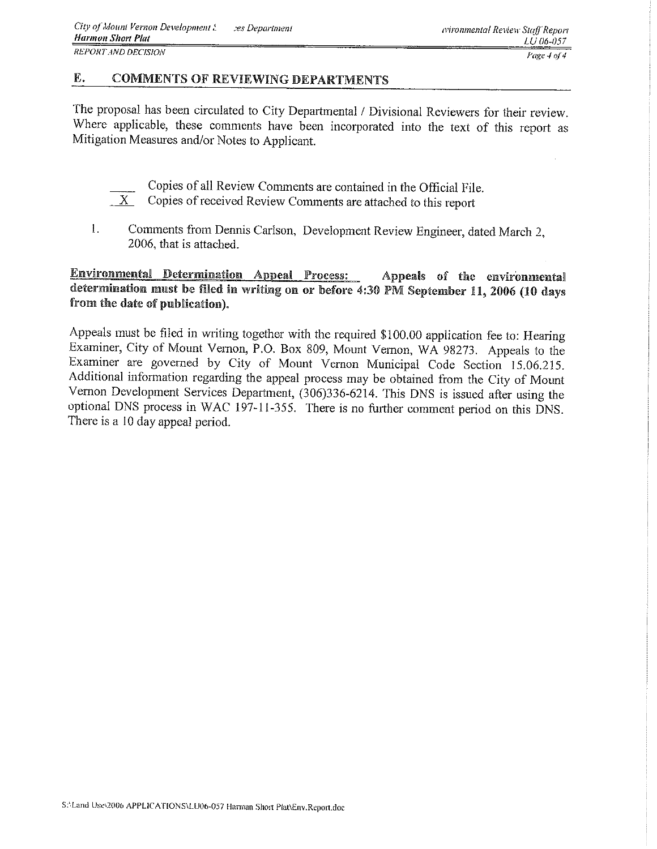#### E. **COMMENTS OF REVIEWING DEPARTMENTS**

The proposal has been circulated to City Departmental / Divisional Reviewers for their review. Where applicable, these comments have been incorporated into the text of this report as Mitigation Measures and/or Notes to Applicant.

- Copies of all Review Comments are contained in the Official File.
- $X$ Copies of received Review Comments are attached to this report
- $\mathbf{1}$ . Comments from Dennis Carlson, Development Review Engineer, dated March 2. 2006, that is attached.

#### **Environmental Determination Appeal Process:** Appeals of the environmental determination must be filed in writing on or before 4:30 PM September 11, 2006 (10 days from the date of publication).

Appeals must be filed in writing together with the required \$100.00 application fee to: Hearing Examiner, City of Mount Vernon, P.O. Box 809, Mount Vernon, WA 98273. Appeals to the Examiner are governed by City of Mount Vernon Municipal Code Section 15.06.215. Additional information regarding the appeal process may be obtained from the City of Mount Vernon Development Services Department, (306)336-6214. This DNS is issued after using the optional DNS process in WAC 197-11-355. There is no further comment period on this DNS. There is a 10 day appeal period.